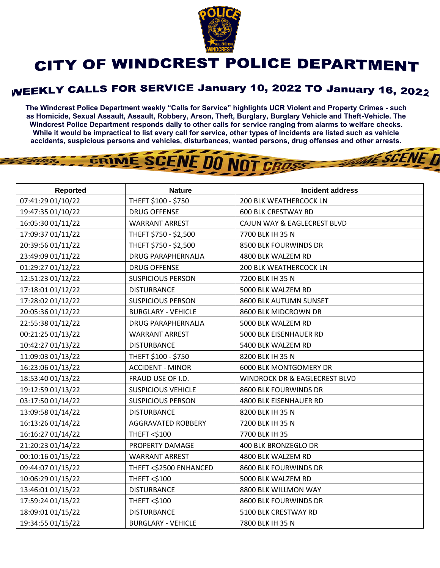

## **CITY OF WINDCREST POLICE DEPARTMENT**

## **WEEKLY CALLS FOR SERVICE January 10, 2022 TO January 16, 2022**

**The Windcrest Police Department weekly "Calls for Service" highlights UCR Violent and Property Crimes - such as Homicide, Sexual Assault, Assault, Robbery, Arson, Theft, Burglary, Burglary Vehicle and Theft-Vehicle. The Windcrest Police Department responds daily to other calls for service ranging from alarms to welfare checks. While it would be impractical to list every call for service, other types of incidents are listed such as vehicle accidents, suspicious persons and vehicles, disturbances, wanted persons, drug offenses and other arrests.** 

**THE SCENE TI** 

## GRIME SCENE DO NOT CROSS

| Reported          | <b>Nature</b>             | <b>Incident address</b>                  |
|-------------------|---------------------------|------------------------------------------|
| 07:41:29 01/10/22 | THEFT \$100 - \$750       | 200 BLK WEATHERCOCK LN                   |
| 19:47:35 01/10/22 | <b>DRUG OFFENSE</b>       | <b>600 BLK CRESTWAY RD</b>               |
| 16:05:30 01/11/22 | <b>WARRANT ARREST</b>     | CAJUN WAY & EAGLECREST BLVD              |
| 17:09:37 01/11/22 | THEFT \$750 - \$2,500     | 7700 BLK IH 35 N                         |
| 20:39:56 01/11/22 | THEFT \$750 - \$2,500     | 8500 BLK FOURWINDS DR                    |
| 23:49:09 01/11/22 | <b>DRUG PARAPHERNALIA</b> | 4800 BLK WALZEM RD                       |
| 01:29:27 01/12/22 | <b>DRUG OFFENSE</b>       | 200 BLK WEATHERCOCK LN                   |
| 12:51:23 01/12/22 | <b>SUSPICIOUS PERSON</b>  | 7200 BLK IH 35 N                         |
| 17:18:01 01/12/22 | <b>DISTURBANCE</b>        | 5000 BLK WALZEM RD                       |
| 17:28:02 01/12/22 | <b>SUSPICIOUS PERSON</b>  | 8600 BLK AUTUMN SUNSET                   |
| 20:05:36 01/12/22 | <b>BURGLARY - VEHICLE</b> | 8600 BLK MIDCROWN DR                     |
| 22:55:38 01/12/22 | DRUG PARAPHERNALIA        | 5000 BLK WALZEM RD                       |
| 00:21:25 01/13/22 | <b>WARRANT ARREST</b>     | 5000 BLK EISENHAUER RD                   |
| 10:42:27 01/13/22 | <b>DISTURBANCE</b>        | 5400 BLK WALZEM RD                       |
| 11:09:03 01/13/22 | THEFT \$100 - \$750       | 8200 BLK IH 35 N                         |
| 16:23:06 01/13/22 | <b>ACCIDENT - MINOR</b>   | 6000 BLK MONTGOMERY DR                   |
| 18:53:40 01/13/22 | FRAUD USE OF I.D.         | <b>WINDROCK DR &amp; EAGLECREST BLVD</b> |
| 19:12:59 01/13/22 | <b>SUSPICIOUS VEHICLE</b> | 8600 BLK FOURWINDS DR                    |
| 03:17:50 01/14/22 | <b>SUSPICIOUS PERSON</b>  | 4800 BLK EISENHAUER RD                   |
| 13:09:58 01/14/22 | <b>DISTURBANCE</b>        | 8200 BLK IH 35 N                         |
| 16:13:26 01/14/22 | AGGRAVATED ROBBERY        | 7200 BLK IH 35 N                         |
| 16:16:27 01/14/22 | <b>THEFT &lt;\$100</b>    | 7700 BLK IH 35                           |
| 21:20:23 01/14/22 | PROPERTY DAMAGE           | 400 BLK BRONZEGLO DR                     |
| 00:10:16 01/15/22 | <b>WARRANT ARREST</b>     | 4800 BLK WALZEM RD                       |
| 09:44:07 01/15/22 | THEFT <\$2500 ENHANCED    | 8600 BLK FOURWINDS DR                    |
| 10:06:29 01/15/22 | <b>THEFT &lt;\$100</b>    | 5000 BLK WALZEM RD                       |
| 13:46:01 01/15/22 | <b>DISTURBANCE</b>        | 8800 BLK WILLMON WAY                     |
| 17:59:24 01/15/22 | THEFT <\$100              | 8600 BLK FOURWINDS DR                    |
| 18:09:01 01/15/22 | <b>DISTURBANCE</b>        | 5100 BLK CRESTWAY RD                     |
| 19:34:55 01/15/22 | <b>BURGLARY - VEHICLE</b> | 7800 BLK IH 35 N                         |